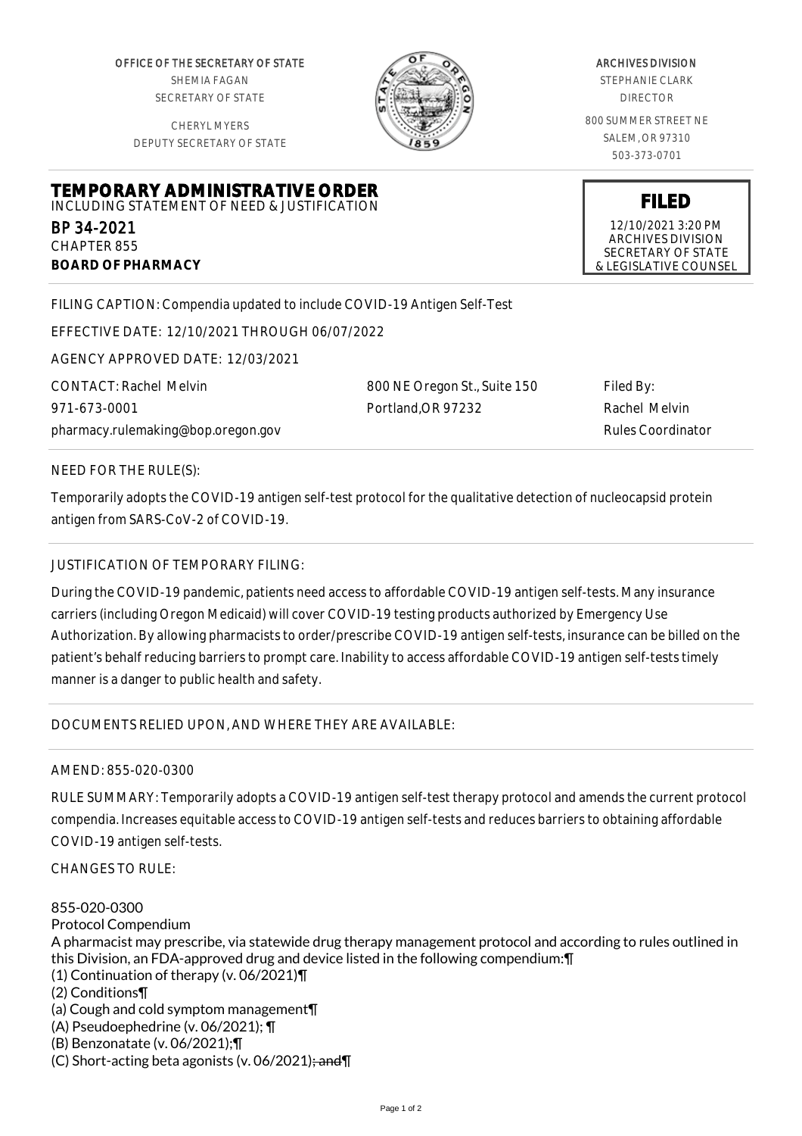OFFICE OF THE SECRETARY OF STATE SHEMIA FAGAN SECRETARY OF STATE

CHERYL MYERS DEPUTY SECRETARY OF STATE

**TEMPORARY ADMINISTRATIVE ORDER** INCLUDING STATEMENT OF NEED & JUSTIFICATION



#### ARCHIVES DIVISION

STEPHANIE CLARK DIRECTOR

800 SUMMER STREET NE SALEM, OR 97310 503-373-0701

> **FILED** 12/10/2021 3:20 PM ARCHIVES DIVISION SECRETARY OF STATE

& LEGISLATIVE COUNSEL

FILING CAPTION: Compendia updated to include COVID-19 Antigen Self-Test

EFFECTIVE DATE: 12/10/2021 THROUGH 06/07/2022

AGENCY APPROVED DATE: 12/03/2021

CONTACT: Rachel Melvin 971-673-0001 pharmacy.rulemaking@bop.oregon.gov 800 NE Oregon St., Suite 150 Portland,OR 97232

Filed By: Rachel Melvin Rules Coordinator

## NEED FOR THE RULE(S):

BP 34-2021 CHAPTER 855

**BOARD OF PHARMACY**

Temporarily adopts the COVID-19 antigen self-test protocol for the qualitative detection of nucleocapsid protein antigen from SARS-CoV-2 of COVID-19.

### JUSTIFICATION OF TEMPORARY FILING:

During the COVID-19 pandemic, patients need access to affordable COVID-19 antigen self-tests. Many insurance carriers (including Oregon Medicaid) will cover COVID-19 testing products authorized by Emergency Use Authorization. By allowing pharmacists to order/prescribe COVID-19 antigen self-tests, insurance can be billed on the patient's behalf reducing barriers to prompt care. Inability to access affordable COVID-19 antigen self-tests timely manner is a danger to public health and safety.

# DOCUMENTS RELIED UPON, AND WHERE THEY ARE AVAILABLE:

#### AMEND: 855-020-0300

RULE SUMMARY: Temporarily adopts a COVID-19 antigen self-test therapy protocol and amends the current protocol compendia. Increases equitable access to COVID-19 antigen self-tests and reduces barriers to obtaining affordable COVID-19 antigen self-tests.

CHANGES TO RULE:

855-020-0300 Protocol Compendium A pharmacist may prescribe, via statewide drug therapy management protocol and according to rules outlined in this Division, an FDA-approved drug and device listed in the following compendium:¶ (1) Continuation of therapy (v. 06/2021)¶ (2) Conditions¶ (a) Cough and cold symptom management¶ (A) Pseudoephedrine (v. 06/2021); ¶ (B) Benzonatate (v. 06/2021);¶ (C) Short-acting beta agonists (v. 06/2021); and